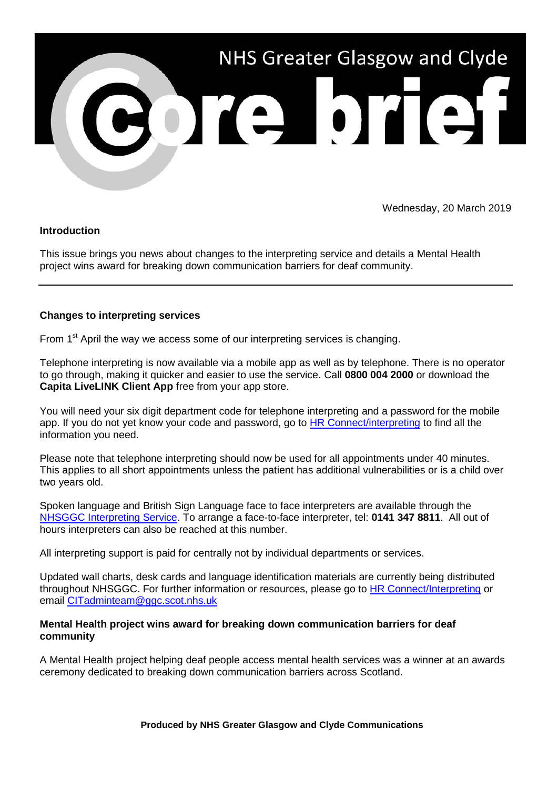

Wednesday, 20 March 2019

## **Introduction**

This issue brings you news about changes to the interpreting service and details a Mental Health project wins award for breaking down communication barriers for deaf community.

## **Changes to interpreting services**

From 1<sup>st</sup> April the way we access some of our interpreting services is changing.

Telephone interpreting is now available via a mobile app as well as by telephone. There is no operator to go through, making it quicker and easier to use the service. Call **0800 004 2000** or download the **Capita LiveLINK Client App** free from your app store.

You will need your six digit department code for telephone interpreting and a password for the mobile app. If you do not yet know your code and password, go to HR [Connect/interpreting](https://www.nhsggc.org.uk/working-with-us/hr-connect/staff-banks/interpreting-services/) to find all the information you need.

Please note that telephone interpreting should now be used for all appointments under 40 minutes. This applies to all short appointments unless the patient has additional vulnerabilities or is a child over two years old.

Spoken language and British Sign Language face to face interpreters are available through the [NHSGGC Interpreting Service.](https://www.nhsggc.org.uk/working-with-us/hr-connect/staff-banks/interpreting-services/) To arrange a face-to-face interpreter, tel: **0141 347 8811**. All out of hours interpreters can also be reached at this number.

All interpreting support is paid for centrally not by individual departments or services.

Updated wall charts, desk cards and language identification materials are currently being distributed throughout NHSGGC. For further information or resources, please go to [HR Connect/Interpreting](https://www.nhsggc.org.uk/working-with-us/hr-connect/staff-banks/interpreting-services/) or email [CITadminteam@ggc.scot.nhs.uk](mailto:CITadminteam@ggc.scot.nhs.uk)

## **Mental Health project wins award for breaking down communication barriers for deaf community**

A Mental Health project helping deaf people access mental health services was a winner at an awards ceremony dedicated to breaking down communication barriers across Scotland.